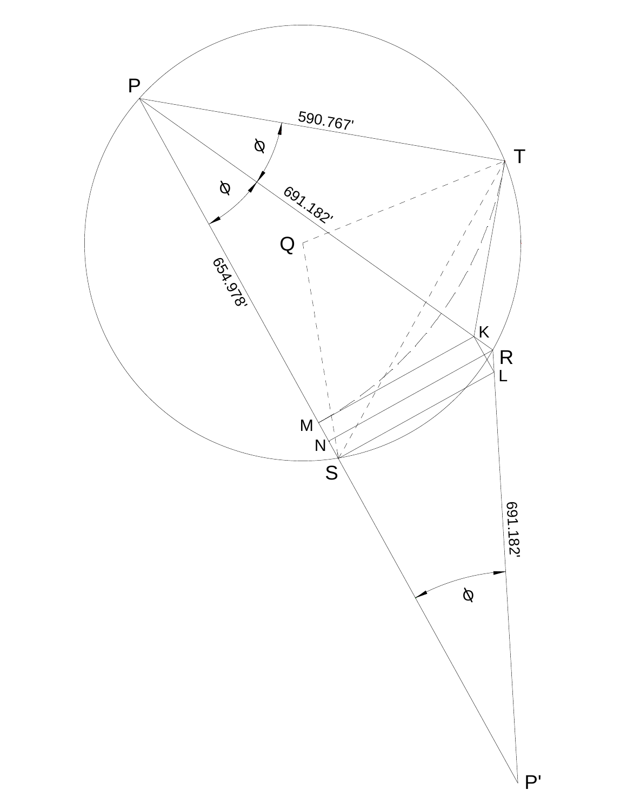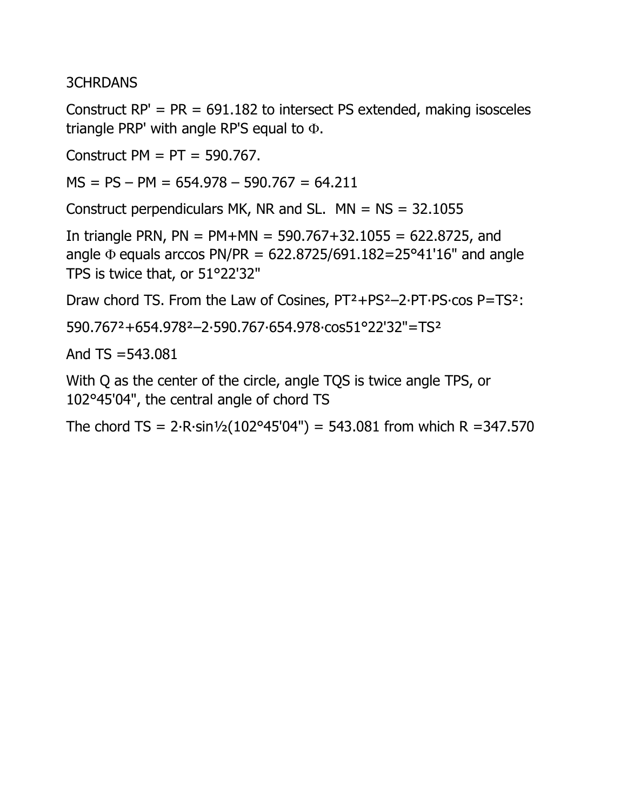3CHRDANS

Construct  $RP' = PR = 691.182$  to intersect PS extended, making isosceles triangle PRP' with angle RP'S equal to Φ.

Construct  $PM = PT = 590.767$ .

 $MS = PS - PM = 654.978 - 590.767 = 64.211$ 

Construct perpendiculars MK, NR and SL.  $MN = NS = 32.1055$ 

In triangle PRN,  $PN = PM+MN = 590.767+32.1055 = 622.8725$ , and angle  $\Phi$  equals arccos PN/PR = 622.8725/691.182=25°41'16" and angle TPS is twice that, or 51°22'32"

Draw chord TS. From the Law of Cosines, PT²+PS²–2∙PT∙PS∙cos P=TS²:

590.767²+654.978²–2∙590.767∙654.978∙cos51°22'32"=TS²

And  $TS = 543.081$ 

With Q as the center of the circle, angle TQS is twice angle TPS, or 102°45'04", the central angle of chord TS

The chord TS =  $2 \cdot R \cdot \sin \frac{1}{2} (102^{\circ}45'04'') = 543.081$  from which R = 347.570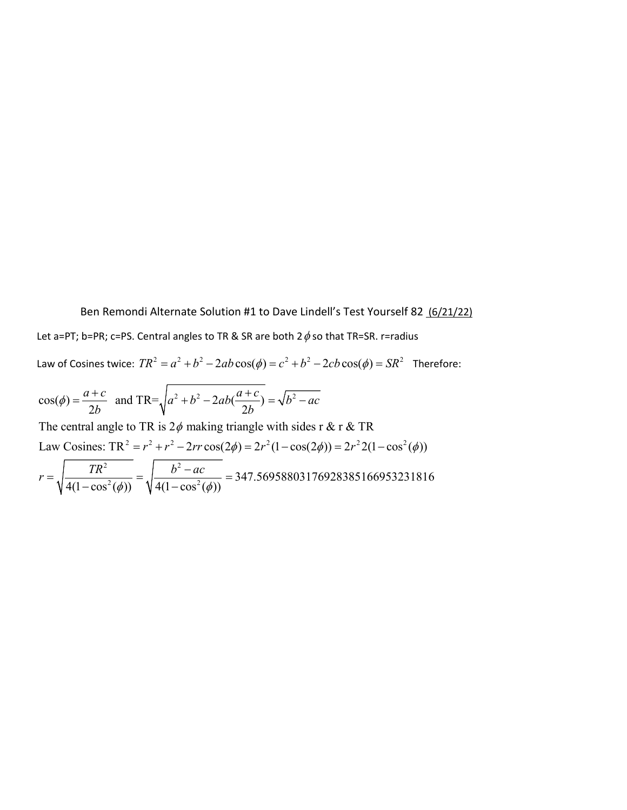Ben Remondi Alternate Solution #1 to Dave Lindell's Test Yourself 82 (6/21/22) Let a=PT; b=PR; c=PS. Central angles to TR & SR are both  $2\phi$  so that TR=SR. r=radius Law of Cosines twice:  $TR^2 = a^2 + b^2 - 2ab\cos(\phi) = c^2 + b^2 - 2cb\cos(\phi) = SR^2$  Therefore:

$$
cos(\phi) = \frac{a+c}{2b}
$$
 and TR= $\sqrt{a^2 + b^2 - 2ab(\frac{a+c}{2b})} = \sqrt{b^2 - ac}$ 

Law Cosines:  $TR^2 = r^2 + r^2 - 2rr\cos(2\phi) = 2r^2(1 - \cos(2\phi)) = 2r^2(1 - \cos^2(\phi))$ The central angle to TR is  $2\phi$  making triangle with sides r & r & TR φ

$$
r = \sqrt{\frac{TR^2}{4(1 - \cos^2(\phi))}} = \sqrt{\frac{b^2 - ac}{4(1 - \cos^2(\phi))}} = 347.56958803176928385166953231816
$$